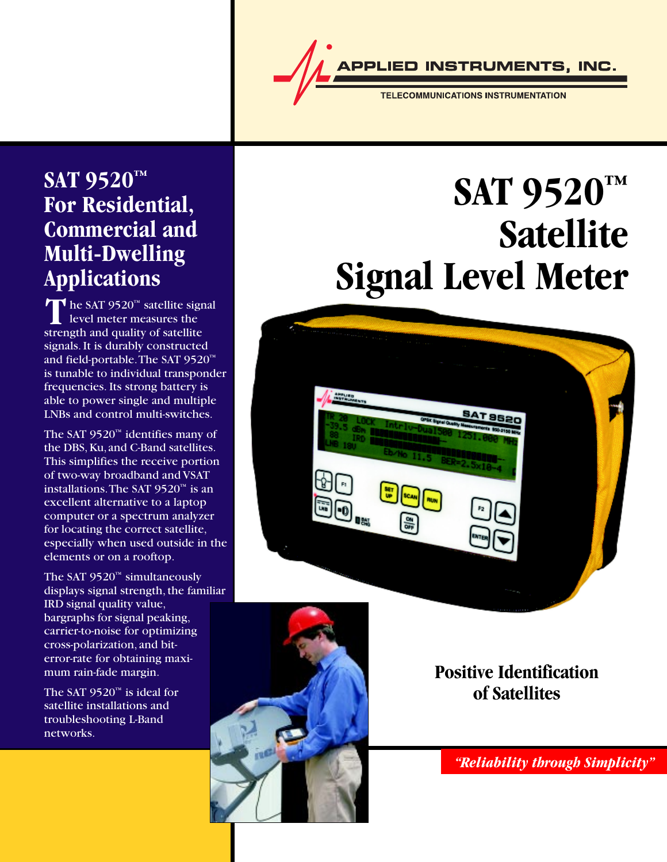**INSTRUMENTS, INC.** 

**TELECOMMUNICATIONS INSTRUMENTATION** 

### **SAT 9520™ For Residential, Commercial and Multi-Dwelling Applications**

The SAT 9520<sup>TM</sup> satellite sign<br>level meter measures the<br>strength and quality of satellite The SAT 9520™ satellite signal level meter measures the signals. It is durably constructed and field-portable. The SAT 9520™ is tunable to individual transponder frequencies. Its strong battery is able to power single and multiple LNBs and control multi-switches.

The SAT 9520™ identifies many of the DBS, Ku, and C-Band satellites. This simplifies the receive portion of two-way broadband and VSAT installations. The SAT 9520™ is an excellent alternative to a laptop computer or a spectrum analyzer for locating the correct satellite, especially when used outside in the elements or on a rooftop.

The SAT 9520™ simultaneously displays signal strength, the familiar IRD signal quality value, bargraphs for signal peaking, carrier-to-noise for optimizing cross-polarization, and biterror-rate for obtaining maximum rain-fade margin.

The SAT  $9520^m$  is ideal for satellite installations and troubleshooting L-Band networks.

# **SAT 9520™ Satellite Signal Level Meter**





### **Positive Identification of Satellites**

*"Reliability through Simplicity"*